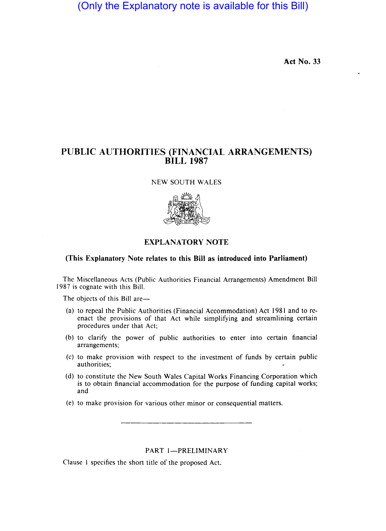(Only the Explanatory note is available for this Bill)

Act No. 33

# PUBLIC AUTHORITIES (FINANCIAL. ARRANGEMENTS) BILL 1987

NEW SOUTH WALES



## EXPLANATORY NOTE

## (This Explanatory Note relates to this Bill as introduced into Parliament)

The Miscellaneous Acts (Public Authorities Financial Arrangements) Amendment Bill 1987 is cognate with this Bill.

The objects of this Bill are-

- (a) to repeal the Public Authorities (Financial Accommodation) Act 1981 and to reenact the provisions of that Act while simplifying and streamlining certain procedures under that Act;
- (b) to clarify the power of public authorities to enter into certain financial arrangements;
- (c) to make provision with respect to the investment of funds by certain public authorities;
- (d) to constitute the New South Wales Capital Works Financing Corporation which is to obtain financial accommodation for the purpose of funding capital works; and
- (e) to make provision for various other minor or consequential matters.

## PART 1-PRELIMINARY

Clause I specifies the short title of the proposed Act.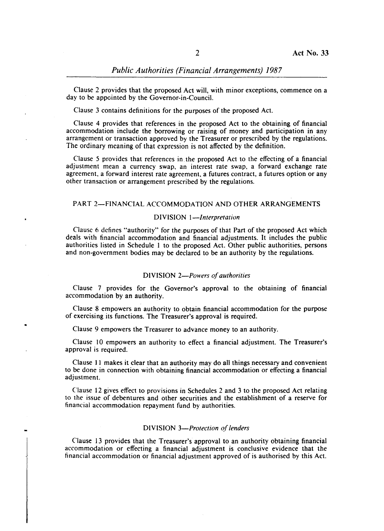Clause 2 provides that the proposed Act will, with minor exceptions, commence on a day to be appointed by the Governor-in-Council.

Clause 3 contains definitions for the purposes of the proposed Act.

Clause 4 provides that references in the proposed Act to the obtaining of financial accommodation include the borrowing or raising of money and participation in any arrangement or transaction approved by the Treasurer or prescribed by the regulations. The ordinary meaning of that expression is not affected by the definition.

Clause 5 provides that references in the proposed Act to the effecting of a financial adjustment mean a currency swap, an interest rate swap, a forward exchange rate agreement, a forward interest rate agreement, a futures contract, a futures option or any other transaction or arrangement prescribed by the regulations.

#### PART 2-FINANCIAL ACCOMMODATION AND OTHER ARRANGEMENTS

#### DIVISION *I-Interpretation*

Clause 6 defines "authority" for the purposes of that Part of the proposed Act which deals with financial accommodation and financial adjustments. It includes the public authorities listed in Schedule I to the proposed Act. Other public authorities, persons and non-government bodies may be declared to be an authority by the regulations.

#### DIVISION *2-Powers of authorities*

Clause 7 provides for the Governor's approval to the obtaining of financial accommodation by an authority.

Clause 8 empowers an authority to obtain financial accommodation for the purpose of exercising its functions. The Treasurer's approval is required.

Clause 9 empowers the Treasurer to advance money to an authority.

,

Clause 10 empowers an authority to effect a financial adjustment. The Treasurer's approval is required.

Clause 11 makes it clear that an authority may do all things necessary and convenient to be done in connection with obtaining financial accommodation or effecting a financial adjustment.

Clause 12 gives effect to provisions in Schedules 2 and 3 to the proposed Act relating to the issue of debentures and other securities and the establishment of a reserve for financial accommodation repayment fund by authorities.

## DIVISION *3-Protection of lenders*

Clause 13 provides that the Treasurer's approval to an authority obtaining financial accommodation or effecting a financial adjustment is conclusive evidence that the financial accommodation or financial adjustment approved of is authorised by this Act.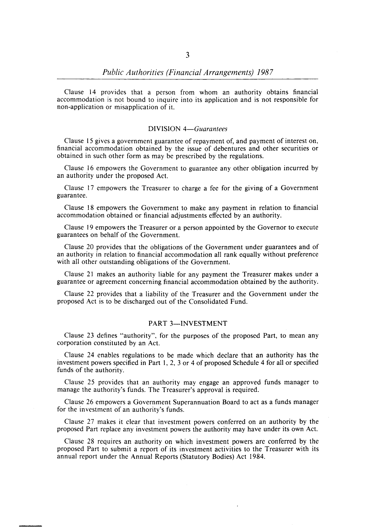Clause 14 provides that a person from whom an authority obtains financial accommodation is not bound to inquire into its application and is not responsible for non-application or misapplication of it.

#### DIVISION *4-Guarantees*

Clause 15 gives a government guarantee of repayment of, and payment of interest on, financial accommodation obtained by the issue of debentures and other securities or obtained in such other form as may be prescribed by the regulations.

Clause 16 empowers the Government to guarantee any other obligation incurred by an authority under the proposed Act.

Clause 17 empowers the Treasurer to charge a fee for the giving of a Government guarantee.

Clause 18 empowers the Government to make any payment in relation to financial accommodation obtained or financial adjustments effected by an authority.

Clause 19 empowers the Treasurer or a person appointed by the Governor to execute guarantees on behalf of the Government.

Clause 20 provides that the obligations of the Government under guarantees and of an authority in relation to financial accommodation all rank equally without preference with all other outstanding obligations of the Government.

Clause 21 makes an authority liable for any payment the Treasurer makes under a guarantee or agreement concerning financial accommodation obtained by the authority.

Clause 22 provides that a liability of the Treasurer and the Government under the proposed Act is to be discharged out of the Consolidated Fund.

## PART 3-INVESTMENT

Clause 23 defines "authority", for the purposes of the proposed Part, to mean any corporation constituted by an Act.

Clause 24 enables regulations to be made which declare that an authority has the investment powers specified in Part I, 2, 3 or 4 of proposed Schedule 4 for all or specified funds of the authority.

Clause 25 provides that an authority may engage an approved funds manager to manage the authority's funds. The Treasurer's approval is required.

Clause 26 empowers a Government Superannuation Board to act as a funds manager for the investment of an authority's funds.

Clause 27 makes it clear that investment powers conferred on an authority by the proposed Part replace any investment powers the authority may have under its own Act.

Clause 28 requires an authority on which investment powers are conferred by the proposed Part to submit a report of its investment activities to the Treasurer with its annual report under the Annual Reports (Statutory Bodies) Act 1984.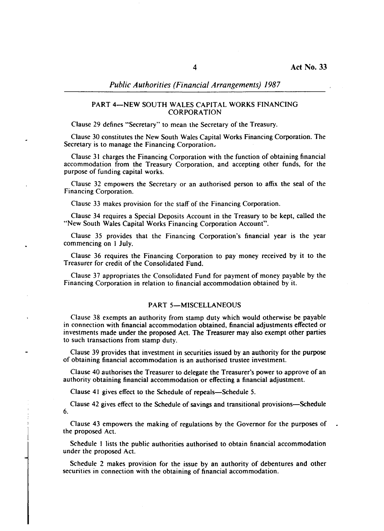## PART 4-NEW SOUTH WALES CAPITAL WORKS FINANCING **CORPORATION**

Clause 29 defines "Secretary" to mean the Secretary of the Treasury.

Clause 30 constitutes the New South Wales Capital Works Financing Corporation. The Secretary is to manage the Financing Corporation,

Clause 31 charges the Financing Corporation with the function of obtaining financial accommodation from the Treasury Corporation, and accepting other funds, for the purpose of funding capital works.

Clause 32 empowers the Secretary or an authorised person to affix the seal of the Financing Corporation.

Clause 33 makes provision for the staff of the Financing Corporation.

Clause 34 requires a Special Deposits Account in the Treasury to be kept, called the "New South Wales Capital Works Financing Corporation Account".

Clause 35 provides that the Financing Corporation's financial year is the year commencing on I July.

Clause 36 requires the Financing Corporation to pay money received by it to the Treasurer for credit of the Consolidated Fund.

Clause 37 appropriates the Consolidated Fund for payment of money payable by the Financing Corporation in relation to financial accommodation obtained by it.

#### PART 5-MISCELLANEOUS

Clause 38 exempts an authority from stamp duty which would otherwise be payable in connection with financial accommodation obtained, financial adjustments effected or investments made under the proposed Act. The Treasurer may also exempt other parties to such transactions from stamp duty.

Clause 39 provides that investment in securities issued by an authority for the purpose of obtaining financial accommodation is an authorised trustee investment.

Clause 40 authorises the Treasurer to delegate the Treasurer's power to approve of an authority obtaining financial accommodation or effecting a financial adjustment.

Clause 41 gives effect to the Schedule of repeals—Schedule 5.

Clause 42 gives effect to the Schedule of savings and transitional provisions-Schedule 6.

Clause 43 empowers the making of regulations by the Governor for the purposes of the proposed Act.

Schedule I lists the public authorities authorised to obtain financial accommodation under the proposed Act.

Schedule 2 makes provision for the issue by an authority of debentures and other securities in connection with the obtaining of financial accommodation.